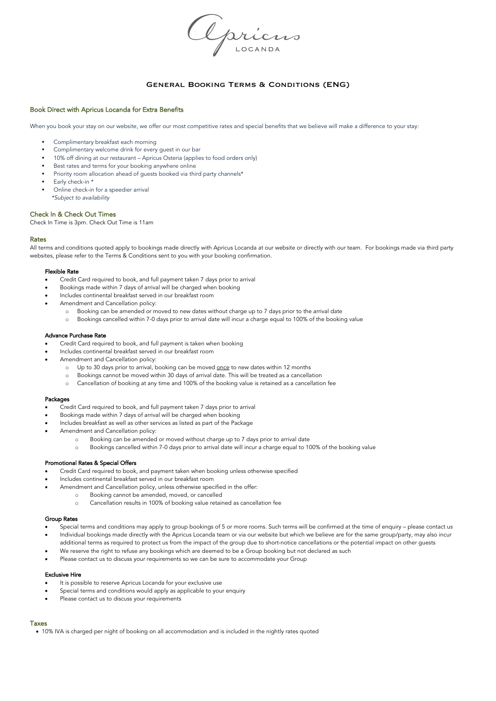Opriens

# General Booking Terms & Conditions (ENG)

# Book Direct with Apricus Locanda for Extra Benefits

When you book your stay on our website, we offer our most competitive rates and special benefits that we believe will make a difference to your stay:

- § Complimentary breakfast each morning
- Complimentary welcome drink for every quest in our bar
- § 10% off dining at our restaurant Apricus Osteria (applies to food orders only)
- Best rates and terms for your booking anywhere online
- Priority room allocation ahead of guests booked via third party channels\*
- Early check-in \*
- § Online check-in for a speedier arrival  *\*Subject to availability*

### Check In & Check Out Times

Check In Time is 3pm. Check Out Time is 11am

## Rates

All terms and conditions quoted apply to bookings made directly with Apricus Locanda at our website or directly with our team. For bookings made via third party websites, please refer to the Terms & Conditions sent to you with your booking confirmation.

### Flexible Rate

- Credit Card required to book, and full payment taken 7 days prior to arrival
- Bookings made within 7 days of arrival will be charged when booking
- Includes continental breakfast served in our breakfast room
- Amendment and Cancellation policy:
	- o Booking can be amended or moved to new dates without charge up to 7 days prior to the arrival date
	- o Bookings cancelled within 7-0 days prior to arrival date will incur a charge equal to 100% of the booking value

#### Advance Purchase Rate

- Credit Card required to book, and full payment is taken when booking
- Includes continental breakfast served in our breakfast room
- Amendment and Cancellation policy:
	- o Up to 30 days prior to arrival, booking can be moved once to new dates within 12 months
	- Bookings cannot be moved within 30 days of arrival date. This will be treated as a cancellation
	- o Cancellation of booking at any time and 100% of the booking value is retained as a cancellation fee

### Packages

- Credit Card required to book, and full payment taken 7 days prior to arrival
- Bookings made within 7 days of arrival will be charged when booking
- Includes breakfast as well as other services as listed as part of the Package
- Amendment and Cancellation policy:
	- o Booking can be amended or moved without charge up to 7 days prior to arrival date
	- Bookings cancelled within 7-0 days prior to arrival date will incur a charge equal to 100% of the booking value

### Promotional Rates & Special Offers

- Credit Card required to book, and payment taken when booking unless otherwise specified
- Includes continental breakfast served in our breakfast room
- Amendment and Cancellation policy, unless otherwise specified in the offer:
	- Booking cannot be amended, moved, or cancelled
		- o Cancellation results in 100% of booking value retained as cancellation fee

### Group Rates

- Special terms and conditions may apply to group bookings of 5 or more rooms. Such terms will be confirmed at the time of enquiry please contact us
- Individual bookings made directly with the Apricus Locanda team or via our website but which we believe are for the same group/party, may also incur
- additional terms as required to protect us from the impact of the group due to short-notice cancellations or the potential impact on other guests
- We reserve the right to refuse any bookings which are deemed to be a Group booking but not declared as such • Please contact us to discuss your requirements so we can be sure to accommodate your Group

# Exclusive Hire

- It is possible to reserve Apricus Locanda for your exclusive use
- Special terms and conditions would apply as applicable to your enquiry
- Please contact us to discuss your requirements

# Taxes

• 10% IVA is charged per night of booking on all accommodation and is included in the nightly rates quoted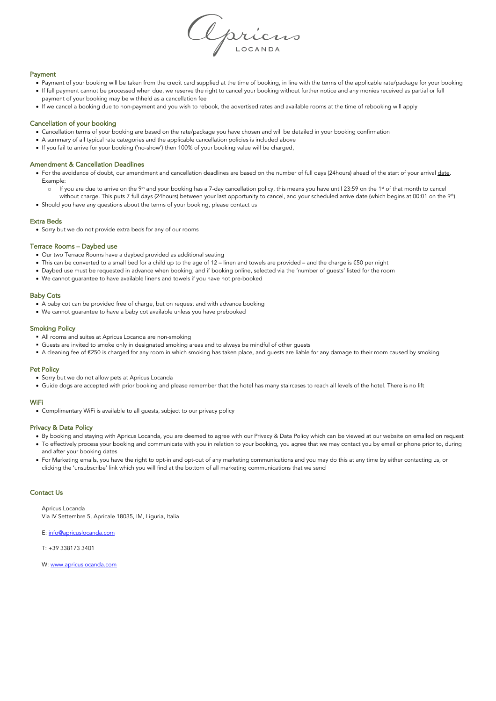

## Payment

- Payment of your booking will be taken from the credit card supplied at the time of booking, in line with the terms of the applicable rate/package for your booking • If full payment cannot be processed when due, we reserve the right to cancel your booking without further notice and any monies received as partial or full payment of your booking may be withheld as a cancellation fee
- If we cancel a booking due to non-payment and you wish to rebook, the advertised rates and available rooms at the time of rebooking will apply

## Cancellation of your booking

- Cancellation terms of your booking are based on the rate/package you have chosen and will be detailed in your booking confirmation
- A summary of all typical rate categories and the applicable cancellation policies is included above
- If you fail to arrive for your booking ('no-show') then 100% of your booking value will be charged,

## Amendment & Cancellation Deadlines

- For the avoidance of doubt, our amendment and cancellation deadlines are based on the number of full days (24hours) ahead of the start of your arrival date. Example:
	- o If you are due to arrive on the 9<sup>th</sup> and your booking has a 7-day cancellation policy, this means you have until 23:59 on the 1<sup>st</sup> of that month to cancel without charge. This puts 7 full days (24hours) between your last opportunity to cancel, and your scheduled arrive date (which begins at 00:01 on the 9<sup>th</sup>).
- Should you have any questions about the terms of your booking, please contact us

#### Extra Beds

• Sorry but we do not provide extra beds for any of our rooms

### Terrace Rooms – Daybed use

- Our two Terrace Rooms have a daybed provided as additional seating
- This can be converted to a small bed for a child up to the age of 12 linen and towels are provided and the charge is €50 per night
- Daybed use must be requested in advance when booking, and if booking online, selected via the 'number of guests' listed for the room
- We cannot guarantee to have available linens and towels if you have not pre-booked

# Baby Cots

- A baby cot can be provided free of charge, but on request and with advance booking
- We cannot guarantee to have a baby cot available unless you have prebooked

# Smoking Policy

- § All rooms and suites at Apricus Locanda are non-smoking
- § Guests are invited to smoke only in designated smoking areas and to always be mindful of other guests
- A cleaning fee of €250 is charged for any room in which smoking has taken place, and guests are liable for any damage to their room caused by smoking

## Pet Policy

- Sorry but we do not allow pets at Apricus Locanda
- Guide dogs are accepted with prior booking and please remember that the hotel has many staircases to reach all levels of the hotel. There is no lift

#### WiFi

• Complimentary WiFi is available to all guests, subject to our privacy policy

#### Privacy & Data Policy

- By booking and staying with Apricus Locanda, you are deemed to agree with our Privacy & Data Policy which can be viewed at our website on emailed on request • To effectively process your booking and communicate with you in relation to your booking, you agree that we may contact you by email or phone prior to, during and after your booking dates
- For Marketing emails, you have the right to opt-in and opt-out of any marketing communications and you may do this at any time by either contacting us, or clicking the 'unsubscribe' link which you will find at the bottom of all marketing communications that we send

## Contact Us

Apricus Locanda Via IV Settembre 5, Apricale 18035, IM, Liguria, Italia

E: info@apricuslocanda.com

T: +39 338173 3401

W: www.apricuslocanda.com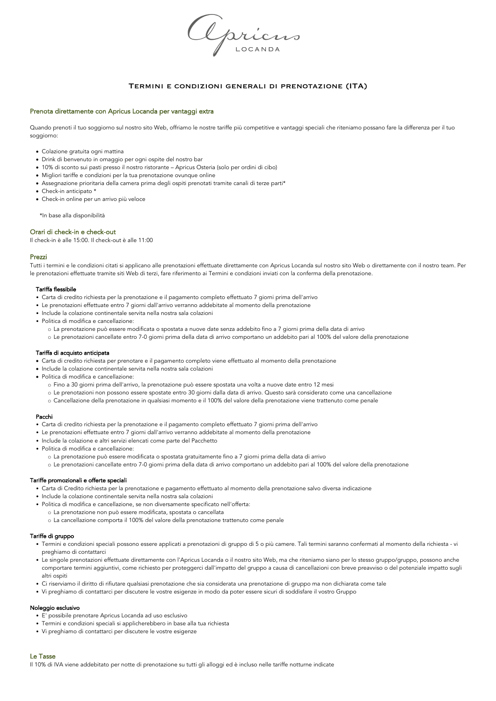Apricus

# Termini e condizioni generali di prenotazione (ITA)

# Prenota direttamente con Apricus Locanda per vantaggi extra

Quando prenoti il tuo soggiorno sul nostro sito Web, offriamo le nostre tariffe più competitive e vantaggi speciali che riteniamo possano fare la differenza per il tuo soggiorno:

- Colazione gratuita ogni mattina
- Drink di benvenuto in omaggio per ogni ospite del nostro bar
- 10% di sconto sui pasti presso il nostro ristorante Apricus Osteria (solo per ordini di cibo)
- Migliori tariffe e condizioni per la tua prenotazione ovunque online
- Assegnazione prioritaria della camera prima degli ospiti prenotati tramite canali di terze parti\*
- Check-in anticipato \*
- Check-in online per un arrivo più veloce

\*In base alla disponibilità

## Orari di check-in e check-out

Il check-in è alle 15:00. Il check-out è alle 11:00

### Prezzi

Tutti i termini e le condizioni citati si applicano alle prenotazioni effettuate direttamente con Apricus Locanda sul nostro sito Web o direttamente con il nostro team. Per le prenotazioni effettuate tramite siti Web di terzi, fare riferimento ai Termini e condizioni inviati con la conferma della prenotazione.

#### Tariffa flessibile

- Carta di credito richiesta per la prenotazione e il pagamento completo effettuato 7 giorni prima dell'arrivo
- Le prenotazioni effettuate entro 7 giorni dall'arrivo verranno addebitate al momento della prenotazione
- Include la colazione continentale servita nella nostra sala colazioni
- Politica di modifica e cancellazione:
	- o La prenotazione può essere modificata o spostata a nuove date senza addebito fino a 7 giorni prima della data di arrivo
	- o Le prenotazioni cancellate entro 7-0 giorni prima della data di arrivo comportano un addebito pari al 100% del valore della prenotazione

#### Tariffa di acquisto anticipata

- Carta di credito richiesta per prenotare e il pagamento completo viene effettuato al momento della prenotazione
- Include la colazione continentale servita nella nostra sala colazioni
- Politica di modifica e cancellazione:
	- o Fino a 30 giorni prima dell'arrivo, la prenotazione può essere spostata una volta a nuove date entro 12 mesi
	- o Le prenotazioni non possono essere spostate entro 30 giorni dalla data di arrivo. Questo sarà considerato come una cancellazione
	- o Cancellazione della prenotazione in qualsiasi momento e il 100% del valore della prenotazione viene trattenuto come penale

#### Pacchi

- Carta di credito richiesta per la prenotazione e il pagamento completo effettuato 7 giorni prima dell'arrivo
- Le prenotazioni effettuate entro 7 giorni dall'arrivo verranno addebitate al momento della prenotazione
- Include la colazione e altri servizi elencati come parte del Pacchetto
- Politica di modifica e cancellazione:
	- o La prenotazione può essere modificata o spostata gratuitamente fino a 7 giorni prima della data di arrivo
	- o Le prenotazioni cancellate entro 7-0 giorni prima della data di arrivo comportano un addebito pari al 100% del valore della prenotazione

## Tariffe promozionali e offerte speciali

- Carta di Credito richiesta per la prenotazione e pagamento effettuato al momento della prenotazione salvo diversa indicazione
- Include la colazione continentale servita nella nostra sala colazioni
- Politica di modifica e cancellazione, se non diversamente specificato nell'offerta:
	- o La prenotazione non può essere modificata, spostata o cancellata
	- o La cancellazione comporta il 100% del valore della prenotazione trattenuto come penale

# Tariffe di gruppo

- Termini e condizioni speciali possono essere applicati a prenotazioni di gruppo di 5 o più camere. Tali termini saranno confermati al momento della richiesta vi preghiamo di contattarci
- Le singole prenotazioni effettuate direttamente con l'Apricus Locanda o il nostro sito Web, ma che riteniamo siano per lo stesso gruppo/gruppo, possono anche comportare termini aggiuntivi, come richiesto per proteggerci dall'impatto del gruppo a causa di cancellazioni con breve preavviso o del potenziale impatto sugli altri ospiti
- Ci riserviamo il diritto di rifiutare qualsiasi prenotazione che sia considerata una prenotazione di gruppo ma non dichiarata come tale
- Vi preghiamo di contattarci per discutere le vostre esigenze in modo da poter essere sicuri di soddisfare il vostro Gruppo

# Noleggio esclusivo

- E' possibile prenotare Apricus Locanda ad uso esclusivo
- Termini e condizioni speciali si applicherebbero in base alla tua richiesta
- Vi preghiamo di contattarci per discutere le vostre esigenze

## Le Tasse

Il 10% di IVA viene addebitato per notte di prenotazione su tutti gli alloggi ed è incluso nelle tariffe notturne indicate